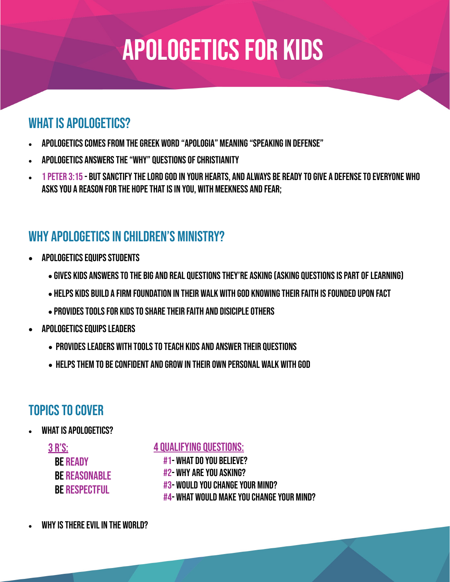# Apologetics for kids

## WHAT IS APOLOGETICS?

- Apologetics comes from the Greek word "apologia" meaning "speaking in defense"
- Apologetics answers the "why" questions of Christianity
- 1 Peter 3:15 But sanctify the Lord God in your hearts, and always be ready to give a defense to everyone who asks you a reason for the hope that is in you, with meekness and fear;

## WHY APOLOGETICS IN CHILDREN'S MINISTRY?

- APOLOGETICS EQUIPS STUDENTS
	- Gives kids answers to the big and real questions they're asking (asking questions is part of learning)
	- HELPS KIDS BUILD A FIRM FOUNDATION IN THEIR WALK WITH GOD KNOWING THEIR FAITH IS FOUNDED UPON FACT
	- PROVIDES TOOLS FOR KIDS TO SHARE THEIR FAITH AND DISICIPLE OTHERS
- APOLOGETICS EQUIPS LEADERS
	- PROVIDES LEADERS WITH TOOLS TO TEACH KIDS AND ANSWER THEIR QUESTIONS
	- HELPS THEM TO BE CONFIDENT AND GROW IN THEIR OWN PERSONAL WALK WITH GOD

## Topics to cover

WHAT IS APOLOGETICS?

3 r's: **BE READY BE REASONABLE BE RESPECTFUL** 

4 QUALIFYING QUESTIONS:

#1- WHAT DO YOU BELIEVE?

#2- WHY ARE YOU ASKING?

#3- Would you change your mind?

#4- What would make you change your mind?

WHY IS THERE EVIL IN THE WORLD?